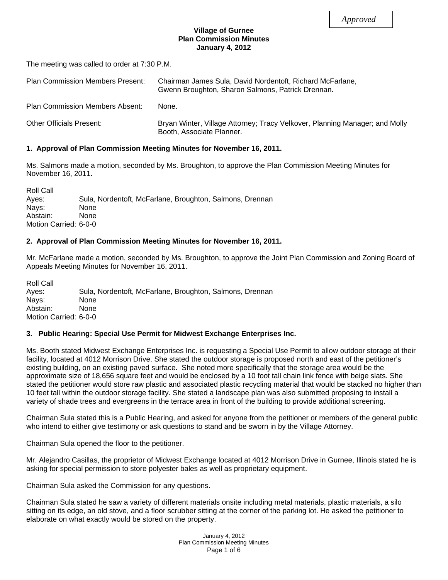## **Village of Gurnee Plan Commission Minutes January 4, 2012**

The meeting was called to order at 7:30 P.M.

| <b>Plan Commission Members Present:</b> | Chairman James Sula, David Nordentoft, Richard McFarlane,<br>Gwenn Broughton, Sharon Salmons, Patrick Drennan. |
|-----------------------------------------|----------------------------------------------------------------------------------------------------------------|
| <b>Plan Commission Members Absent:</b>  | None.                                                                                                          |
| Other Officials Present:                | Bryan Winter, Village Attorney; Tracy Velkover, Planning Manager; and Molly<br>Booth, Associate Planner.       |

## **1. Approval of Plan Commission Meeting Minutes for November 16, 2011.**

Ms. Salmons made a motion, seconded by Ms. Broughton, to approve the Plan Commission Meeting Minutes for November 16, 2011.

Roll Call Ayes: Sula, Nordentoft, McFarlane, Broughton, Salmons, Drennan Nays: None Abstain: None Motion Carried: 6-0-0

## **2. Approval of Plan Commission Meeting Minutes for November 16, 2011.**

Mr. McFarlane made a motion, seconded by Ms. Broughton, to approve the Joint Plan Commission and Zoning Board of Appeals Meeting Minutes for November 16, 2011.

Roll Call Ayes: Sula, Nordentoft, McFarlane, Broughton, Salmons, Drennan Nays: None Abstain: None Motion Carried: 6-0-0

## **3. Public Hearing: Special Use Permit for Midwest Exchange Enterprises Inc.**

Ms. Booth stated Midwest Exchange Enterprises Inc. is requesting a Special Use Permit to allow outdoor storage at their facility, located at 4012 Morrison Drive. She stated the outdoor storage is proposed north and east of the petitioner's existing building, on an existing paved surface. She noted more specifically that the storage area would be the approximate size of 18,656 square feet and would be enclosed by a 10 foot tall chain link fence with beige slats. She stated the petitioner would store raw plastic and associated plastic recycling material that would be stacked no higher than 10 feet tall within the outdoor storage facility. She stated a landscape plan was also submitted proposing to install a variety of shade trees and evergreens in the terrace area in front of the building to provide additional screening.

Chairman Sula stated this is a Public Hearing, and asked for anyone from the petitioner or members of the general public who intend to either give testimony or ask questions to stand and be sworn in by the Village Attorney.

Chairman Sula opened the floor to the petitioner.

Mr. Alejandro Casillas, the proprietor of Midwest Exchange located at 4012 Morrison Drive in Gurnee, Illinois stated he is asking for special permission to store polyester bales as well as proprietary equipment.

Chairman Sula asked the Commission for any questions.

Chairman Sula stated he saw a variety of different materials onsite including metal materials, plastic materials, a silo sitting on its edge, an old stove, and a floor scrubber sitting at the corner of the parking lot. He asked the petitioner to elaborate on what exactly would be stored on the property.

> January 4, 2012 Plan Commission Meeting Minutes Page 1 of 6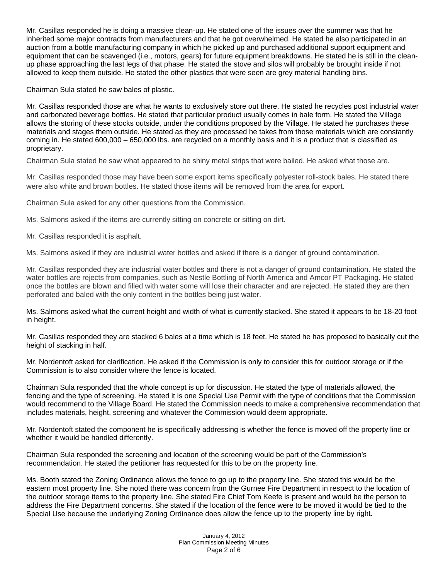Mr. Casillas responded he is doing a massive clean-up. He stated one of the issues over the summer was that he inherited some major contracts from manufacturers and that he got overwhelmed. He stated he also participated in an auction from a bottle manufacturing company in which he picked up and purchased additional support equipment and equipment that can be scavenged (i.e., motors, gears) for future equipment breakdowns. He stated he is still in the cleanup phase approaching the last legs of that phase. He stated the stove and silos will probably be brought inside if not allowed to keep them outside. He stated the other plastics that were seen are grey material handling bins.

Chairman Sula stated he saw bales of plastic.

Mr. Casillas responded those are what he wants to exclusively store out there. He stated he recycles post industrial water and carbonated beverage bottles. He stated that particular product usually comes in bale form. He stated the Village allows the storing of these stocks outside, under the conditions proposed by the Village. He stated he purchases these materials and stages them outside. He stated as they are processed he takes from those materials which are constantly coming in. He stated 600,000 – 650,000 lbs. are recycled on a monthly basis and it is a product that is classified as proprietary.

Chairman Sula stated he saw what appeared to be shiny metal strips that were bailed. He asked what those are.

Mr. Casillas responded those may have been some export items specifically polyester roll-stock bales. He stated there were also white and brown bottles. He stated those items will be removed from the area for export.

Chairman Sula asked for any other questions from the Commission.

Ms. Salmons asked if the items are currently sitting on concrete or sitting on dirt.

Mr. Casillas responded it is asphalt.

Ms. Salmons asked if they are industrial water bottles and asked if there is a danger of ground contamination.

Mr. Casillas responded they are industrial water bottles and there is not a danger of ground contamination. He stated the water bottles are rejects from companies, such as Nestle Bottling of North America and Amcor PT Packaging. He stated once the bottles are blown and filled with water some will lose their character and are rejected. He stated they are then perforated and baled with the only content in the bottles being just water.

Ms. Salmons asked what the current height and width of what is currently stacked. She stated it appears to be 18-20 foot in height.

Mr. Casillas responded they are stacked 6 bales at a time which is 18 feet. He stated he has proposed to basically cut the height of stacking in half.

Mr. Nordentoft asked for clarification. He asked if the Commission is only to consider this for outdoor storage or if the Commission is to also consider where the fence is located.

Chairman Sula responded that the whole concept is up for discussion. He stated the type of materials allowed, the fencing and the type of screening. He stated it is one Special Use Permit with the type of conditions that the Commission would recommend to the Village Board. He stated the Commission needs to make a comprehensive recommendation that includes materials, height, screening and whatever the Commission would deem appropriate.

Mr. Nordentoft stated the component he is specifically addressing is whether the fence is moved off the property line or whether it would be handled differently.

Chairman Sula responded the screening and location of the screening would be part of the Commission's recommendation. He stated the petitioner has requested for this to be on the property line.

Ms. Booth stated the Zoning Ordinance allows the fence to go up to the property line. She stated this would be the eastern most property line. She noted there was concern from the Gurnee Fire Department in respect to the location of the outdoor storage items to the property line. She stated Fire Chief Tom Keefe is present and would be the person to address the Fire Department concerns. She stated if the location of the fence were to be moved it would be tied to the Special Use because the underlying Zoning Ordinance does allow the fence up to the property line by right.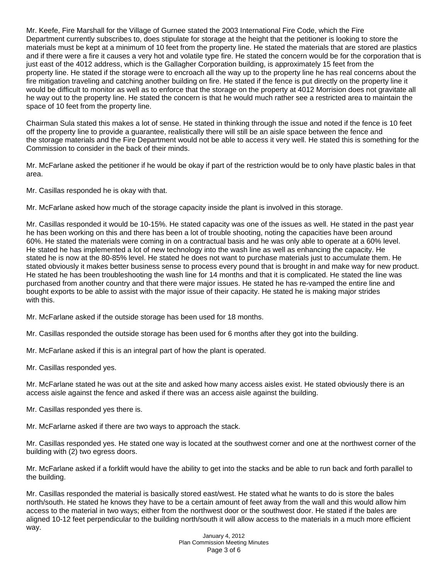Mr. Keefe, Fire Marshall for the Village of Gurnee stated the 2003 International Fire Code, which the Fire Department currently subscribes to, does stipulate for storage at the height that the petitioner is looking to store the materials must be kept at a minimum of 10 feet from the property line. He stated the materials that are stored are plastics and if there were a fire it causes a very hot and volatile type fire. He stated the concern would be for the corporation that is just east of the 4012 address, which is the Gallagher Corporation building, is approximately 15 feet from the property line. He stated if the storage were to encroach all the way up to the property line he has real concerns about the fire mitigation traveling and catching another building on fire. He stated if the fence is put directly on the property line it would be difficult to monitor as well as to enforce that the storage on the property at 4012 Morrision does not gravitate all he way out to the property line. He stated the concern is that he would much rather see a restricted area to maintain the space of 10 feet from the property line.

Chairman Sula stated this makes a lot of sense. He stated in thinking through the issue and noted if the fence is 10 feet off the property line to provide a guarantee, realistically there will still be an aisle space between the fence and the storage materials and the Fire Department would not be able to access it very well. He stated this is something for the Commission to consider in the back of their minds.

Mr. McFarlane asked the petitioner if he would be okay if part of the restriction would be to only have plastic bales in that area.

Mr. Casillas responded he is okay with that.

Mr. McFarlane asked how much of the storage capacity inside the plant is involved in this storage.

Mr. Casillas responded it would be 10-15%. He stated capacity was one of the issues as well. He stated in the past year he has been working on this and there has been a lot of trouble shooting, noting the capacities have been around 60%. He stated the materials were coming in on a contractual basis and he was only able to operate at a 60% level. He stated he has implemented a lot of new technology into the wash line as well as enhancing the capacity. He stated he is now at the 80-85% level. He stated he does not want to purchase materials just to accumulate them. He stated obviously it makes better business sense to process every pound that is brought in and make way for new product. He stated he has been troubleshooting the wash line for 14 months and that it is complicated. He stated the line was purchased from another country and that there were major issues. He stated he has re-vamped the entire line and bought exports to be able to assist with the major issue of their capacity. He stated he is making major strides with this.

Mr. McFarlane asked if the outside storage has been used for 18 months.

Mr. Casillas responded the outside storage has been used for 6 months after they got into the building.

Mr. McFarlane asked if this is an integral part of how the plant is operated.

Mr. Casillas responded yes.

Mr. McFarlane stated he was out at the site and asked how many access aisles exist. He stated obviously there is an access aisle against the fence and asked if there was an access aisle against the building.

Mr. Casillas responded yes there is.

Mr. McFarlarne asked if there are two ways to approach the stack.

Mr. Casillas responded yes. He stated one way is located at the southwest corner and one at the northwest corner of the building with (2) two egress doors.

Mr. McFarlane asked if a forklift would have the ability to get into the stacks and be able to run back and forth parallel to the building.

Mr. Casillas responded the material is basically stored east/west. He stated what he wants to do is store the bales north/south. He stated he knows they have to be a certain amount of feet away from the wall and this would allow him access to the material in two ways; either from the northwest door or the southwest door. He stated if the bales are aligned 10-12 feet perpendicular to the building north/south it will allow access to the materials in a much more efficient way.

> January 4, 2012 Plan Commission Meeting Minutes Page 3 of 6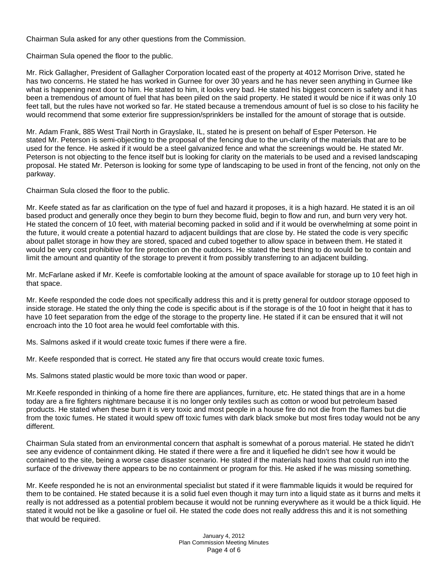Chairman Sula asked for any other questions from the Commission.

Chairman Sula opened the floor to the public.

Mr. Rick Gallagher, President of Gallagher Corporation located east of the property at 4012 Morrison Drive, stated he has two concerns. He stated he has worked in Gurnee for over 30 years and he has never seen anything in Gurnee like what is happening next door to him. He stated to him, it looks very bad. He stated his biggest concern is safety and it has been a tremendous of amount of fuel that has been piled on the said property. He stated it would be nice if it was only 10 feet tall, but the rules have not worked so far. He stated because a tremendous amount of fuel is so close to his facility he would recommend that some exterior fire suppression/sprinklers be installed for the amount of storage that is outside.

Mr. Adam Frank, 885 West Trail North in Grayslake, IL, stated he is present on behalf of Esper Peterson. He stated Mr. Peterson is semi-objecting to the proposal of the fencing due to the un-clarity of the materials that are to be used for the fence. He asked if it would be a steel galvanized fence and what the screenings would be. He stated Mr. Peterson is not objecting to the fence itself but is looking for clarity on the materials to be used and a revised landscaping proposal. He stated Mr. Peterson is looking for some type of landscaping to be used in front of the fencing, not only on the parkway.

Chairman Sula closed the floor to the public.

Mr. Keefe stated as far as clarification on the type of fuel and hazard it proposes, it is a high hazard. He stated it is an oil based product and generally once they begin to burn they become fluid, begin to flow and run, and burn very very hot. He stated the concern of 10 feet, with material becoming packed in solid and if it would be overwhelming at some point in the future, it would create a potential hazard to adjacent buildings that are close by. He stated the code is very specific about pallet storage in how they are stored, spaced and cubed together to allow space in between them. He stated it would be very cost prohibitive for fire protection on the outdoors. He stated the best thing to do would be to contain and limit the amount and quantity of the storage to prevent it from possibly transferring to an adjacent building.

Mr. McFarlane asked if Mr. Keefe is comfortable looking at the amount of space available for storage up to 10 feet high in that space.

Mr. Keefe responded the code does not specifically address this and it is pretty general for outdoor storage opposed to inside storage. He stated the only thing the code is specific about is if the storage is of the 10 foot in height that it has to have 10 feet separation from the edge of the storage to the property line. He stated if it can be ensured that it will not encroach into the 10 foot area he would feel comfortable with this.

Ms. Salmons asked if it would create toxic fumes if there were a fire.

Mr. Keefe responded that is correct. He stated any fire that occurs would create toxic fumes.

Ms. Salmons stated plastic would be more toxic than wood or paper.

Mr.Keefe responded in thinking of a home fire there are appliances, furniture, etc. He stated things that are in a home today are a fire fighters nightmare because it is no longer only textiles such as cotton or wood but petroleum based products. He stated when these burn it is very toxic and most people in a house fire do not die from the flames but die from the toxic fumes. He stated it would spew off toxic fumes with dark black smoke but most fires today would not be any different.

Chairman Sula stated from an environmental concern that asphalt is somewhat of a porous material. He stated he didn't see any evidence of containment diking. He stated if there were a fire and it liquefied he didn't see how it would be contained to the site, being a worse case disaster scenario. He stated if the materials had toxins that could run into the surface of the driveway there appears to be no containment or program for this. He asked if he was missing something.

Mr. Keefe responded he is not an environmental specialist but stated if it were flammable liquids it would be required for them to be contained. He stated because it is a solid fuel even though it may turn into a liquid state as it burns and melts it really is not addressed as a potential problem because it would not be running everywhere as it would be a thick liquid. He stated it would not be like a gasoline or fuel oil. He stated the code does not really address this and it is not something that would be required.

> January 4, 2012 Plan Commission Meeting Minutes Page 4 of 6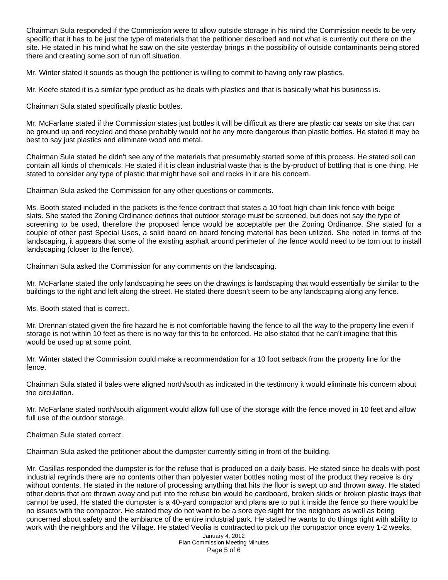Chairman Sula responded if the Commission were to allow outside storage in his mind the Commission needs to be very specific that it has to be just the type of materials that the petitioner described and not what is currently out there on the site. He stated in his mind what he saw on the site yesterday brings in the possibility of outside contaminants being stored there and creating some sort of run off situation.

Mr. Winter stated it sounds as though the petitioner is willing to commit to having only raw plastics.

Mr. Keefe stated it is a similar type product as he deals with plastics and that is basically what his business is.

Chairman Sula stated specifically plastic bottles.

Mr. McFarlane stated if the Commission states just bottles it will be difficult as there are plastic car seats on site that can be ground up and recycled and those probably would not be any more dangerous than plastic bottles. He stated it may be best to say just plastics and eliminate wood and metal.

Chairman Sula stated he didn't see any of the materials that presumably started some of this process. He stated soil can contain all kinds of chemicals. He stated if it is clean industrial waste that is the by-product of bottling that is one thing. He stated to consider any type of plastic that might have soil and rocks in it are his concern.

Chairman Sula asked the Commission for any other questions or comments.

Ms. Booth stated included in the packets is the fence contract that states a 10 foot high chain link fence with beige slats. She stated the Zoning Ordinance defines that outdoor storage must be screened, but does not say the type of screening to be used, therefore the proposed fence would be acceptable per the Zoning Ordinance. She stated for a couple of other past Special Uses, a solid board on board fencing material has been utilized. She noted in terms of the landscaping, it appears that some of the existing asphalt around perimeter of the fence would need to be torn out to install landscaping (closer to the fence).

Chairman Sula asked the Commission for any comments on the landscaping.

Mr. McFarlane stated the only landscaping he sees on the drawings is landscaping that would essentially be similar to the buildings to the right and left along the street. He stated there doesn't seem to be any landscaping along any fence.

Ms. Booth stated that is correct.

Mr. Drennan stated given the fire hazard he is not comfortable having the fence to all the way to the property line even if storage is not within 10 feet as there is no way for this to be enforced. He also stated that he can't imagine that this would be used up at some point.

Mr. Winter stated the Commission could make a recommendation for a 10 foot setback from the property line for the fence.

Chairman Sula stated if bales were aligned north/south as indicated in the testimony it would eliminate his concern about the circulation.

Mr. McFarlane stated north/south alignment would allow full use of the storage with the fence moved in 10 feet and allow full use of the outdoor storage.

Chairman Sula stated correct.

Chairman Sula asked the petitioner about the dumpster currently sitting in front of the building.

Mr. Casillas responded the dumpster is for the refuse that is produced on a daily basis. He stated since he deals with post industrial regrinds there are no contents other than polyester water bottles noting most of the product they receive is dry without contents. He stated in the nature of processing anything that hits the floor is swept up and thrown away. He stated other debris that are thrown away and put into the refuse bin would be cardboard, broken skids or broken plastic trays that cannot be used. He stated the dumpster is a 40-yard compactor and plans are to put it inside the fence so there would be no issues with the compactor. He stated they do not want to be a sore eye sight for the neighbors as well as being concerned about safety and the ambiance of the entire industrial park. He stated he wants to do things right with ability to work with the neighbors and the Village. He stated Veolia is contracted to pick up the compactor once every 1-2 weeks.

January 4, 2012 Plan Commission Meeting Minutes Page 5 of 6